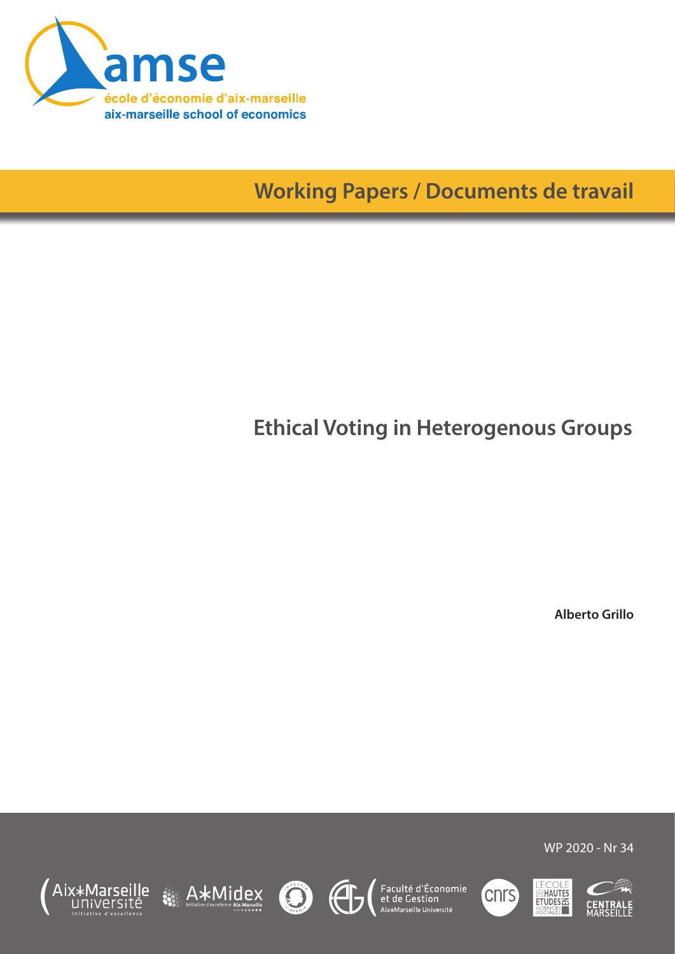

**Working Papers / Documents de travail**

# **Ethical Voting in Heterogenous Groups**

**Alberto Grillo**









Faculté d'Économie<br>et de Gestion<br><sup>Aix\*Marseille Université</sup>





WP 2020 - Nr 34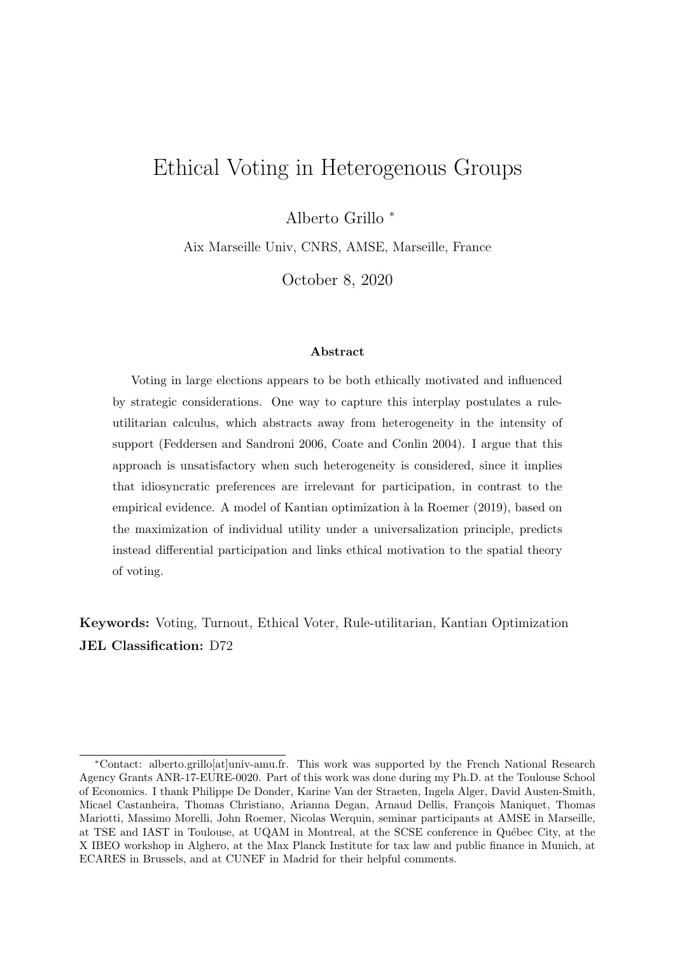## Ethical Voting in Heterogenous Groups

Alberto Grillo <sup>∗</sup>

Aix Marseille Univ, CNRS, AMSE, Marseille, France

October 8, 2020

#### Abstract

Voting in large elections appears to be both ethically motivated and influenced by strategic considerations. One way to capture this interplay postulates a ruleutilitarian calculus, which abstracts away from heterogeneity in the intensity of support (Feddersen and Sandroni 2006, Coate and Conlin 2004). I argue that this approach is unsatisfactory when such heterogeneity is considered, since it implies that idiosyncratic preferences are irrelevant for participation, in contrast to the empirical evidence. A model of Kantian optimization à la Roemer (2019), based on the maximization of individual utility under a universalization principle, predicts instead differential participation and links ethical motivation to the spatial theory of voting.

Keywords: Voting, Turnout, Ethical Voter, Rule-utilitarian, Kantian Optimization JEL Classification: D72

<sup>∗</sup>Contact: alberto.grillo[at]univ-amu.fr. This work was supported by the French National Research Agency Grants ANR-17-EURE-0020. Part of this work was done during my Ph.D. at the Toulouse School of Economics. I thank Philippe De Donder, Karine Van der Straeten, Ingela Alger, David Austen-Smith, Micael Castanheira, Thomas Christiano, Arianna Degan, Arnaud Dellis, François Maniquet, Thomas Mariotti, Massimo Morelli, John Roemer, Nicolas Werquin, seminar participants at AMSE in Marseille, at TSE and IAST in Toulouse, at UQAM in Montreal, at the SCSE conference in Québec City, at the X IBEO workshop in Alghero, at the Max Planck Institute for tax law and public finance in Munich, at ECARES in Brussels, and at CUNEF in Madrid for their helpful comments.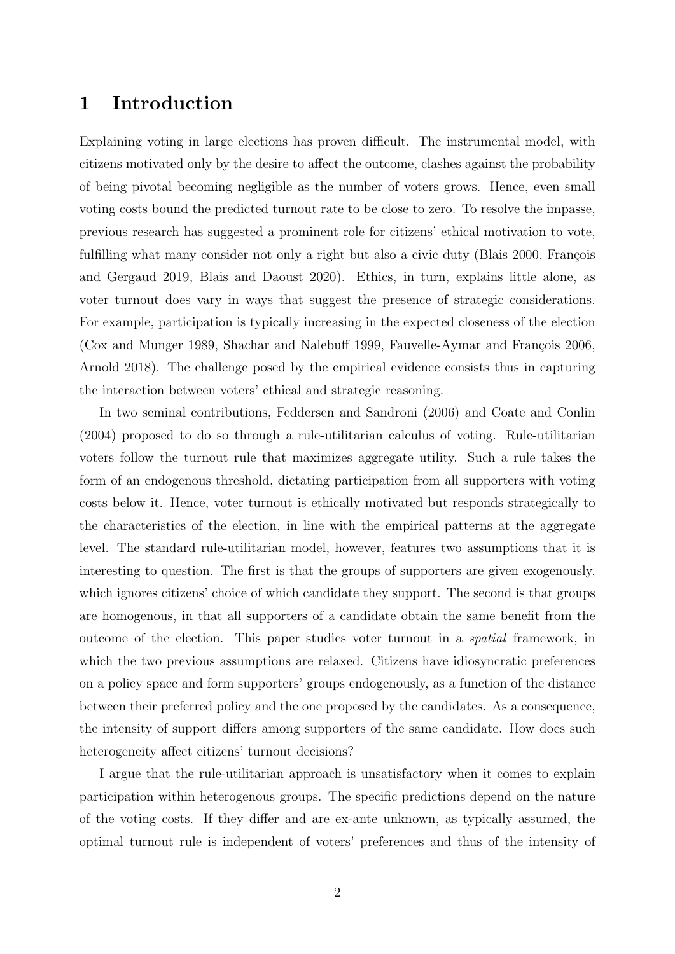## 1 Introduction

Explaining voting in large elections has proven difficult. The instrumental model, with citizens motivated only by the desire to affect the outcome, clashes against the probability of being pivotal becoming negligible as the number of voters grows. Hence, even small voting costs bound the predicted turnout rate to be close to zero. To resolve the impasse, previous research has suggested a prominent role for citizens' ethical motivation to vote, fulfilling what many consider not only a right but also a civic duty (Blais 2000, François and Gergaud 2019, Blais and Daoust 2020). Ethics, in turn, explains little alone, as voter turnout does vary in ways that suggest the presence of strategic considerations. For example, participation is typically increasing in the expected closeness of the election (Cox and Munger 1989, Shachar and Nalebuff 1999, Fauvelle-Aymar and François 2006, Arnold 2018). The challenge posed by the empirical evidence consists thus in capturing the interaction between voters' ethical and strategic reasoning.

In two seminal contributions, Feddersen and Sandroni (2006) and Coate and Conlin (2004) proposed to do so through a rule-utilitarian calculus of voting. Rule-utilitarian voters follow the turnout rule that maximizes aggregate utility. Such a rule takes the form of an endogenous threshold, dictating participation from all supporters with voting costs below it. Hence, voter turnout is ethically motivated but responds strategically to the characteristics of the election, in line with the empirical patterns at the aggregate level. The standard rule-utilitarian model, however, features two assumptions that it is interesting to question. The first is that the groups of supporters are given exogenously, which ignores citizens' choice of which candidate they support. The second is that groups are homogenous, in that all supporters of a candidate obtain the same benefit from the outcome of the election. This paper studies voter turnout in a spatial framework, in which the two previous assumptions are relaxed. Citizens have idiosyncratic preferences on a policy space and form supporters' groups endogenously, as a function of the distance between their preferred policy and the one proposed by the candidates. As a consequence, the intensity of support differs among supporters of the same candidate. How does such heterogeneity affect citizens' turnout decisions?

I argue that the rule-utilitarian approach is unsatisfactory when it comes to explain participation within heterogenous groups. The specific predictions depend on the nature of the voting costs. If they differ and are ex-ante unknown, as typically assumed, the optimal turnout rule is independent of voters' preferences and thus of the intensity of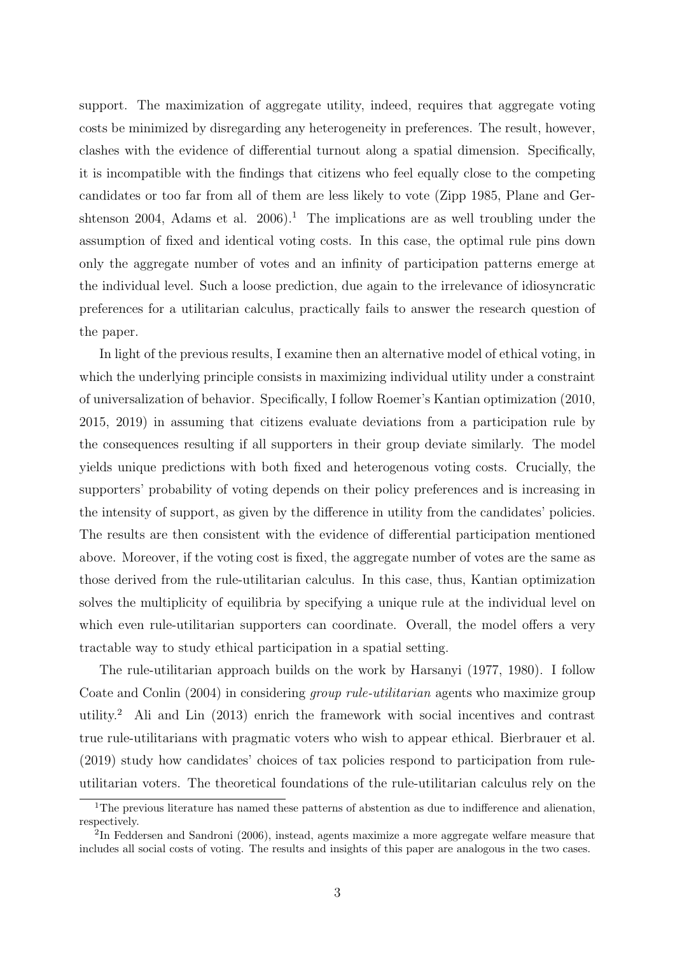support. The maximization of aggregate utility, indeed, requires that aggregate voting costs be minimized by disregarding any heterogeneity in preferences. The result, however, clashes with the evidence of differential turnout along a spatial dimension. Specifically, it is incompatible with the findings that citizens who feel equally close to the competing candidates or too far from all of them are less likely to vote (Zipp 1985, Plane and Gershtenson 2004, Adams et al.  $2006$ <sup>[1](#page-3-0)</sup>. The implications are as well troubling under the assumption of fixed and identical voting costs. In this case, the optimal rule pins down only the aggregate number of votes and an infinity of participation patterns emerge at the individual level. Such a loose prediction, due again to the irrelevance of idiosyncratic preferences for a utilitarian calculus, practically fails to answer the research question of the paper.

In light of the previous results, I examine then an alternative model of ethical voting, in which the underlying principle consists in maximizing individual utility under a constraint of universalization of behavior. Specifically, I follow Roemer's Kantian optimization (2010, 2015, 2019) in assuming that citizens evaluate deviations from a participation rule by the consequences resulting if all supporters in their group deviate similarly. The model yields unique predictions with both fixed and heterogenous voting costs. Crucially, the supporters' probability of voting depends on their policy preferences and is increasing in the intensity of support, as given by the difference in utility from the candidates' policies. The results are then consistent with the evidence of differential participation mentioned above. Moreover, if the voting cost is fixed, the aggregate number of votes are the same as those derived from the rule-utilitarian calculus. In this case, thus, Kantian optimization solves the multiplicity of equilibria by specifying a unique rule at the individual level on which even rule-utilitarian supporters can coordinate. Overall, the model offers a very tractable way to study ethical participation in a spatial setting.

The rule-utilitarian approach builds on the work by Harsanyi (1977, 1980). I follow Coate and Conlin (2004) in considering group rule-utilitarian agents who maximize group utility.[2](#page-3-1) Ali and Lin (2013) enrich the framework with social incentives and contrast true rule-utilitarians with pragmatic voters who wish to appear ethical. Bierbrauer et al. (2019) study how candidates' choices of tax policies respond to participation from ruleutilitarian voters. The theoretical foundations of the rule-utilitarian calculus rely on the

<span id="page-3-0"></span><sup>&</sup>lt;sup>1</sup>The previous literature has named these patterns of abstention as due to indifference and alienation, respectively.

<span id="page-3-1"></span><sup>&</sup>lt;sup>2</sup>In Feddersen and Sandroni (2006), instead, agents maximize a more aggregate welfare measure that includes all social costs of voting. The results and insights of this paper are analogous in the two cases.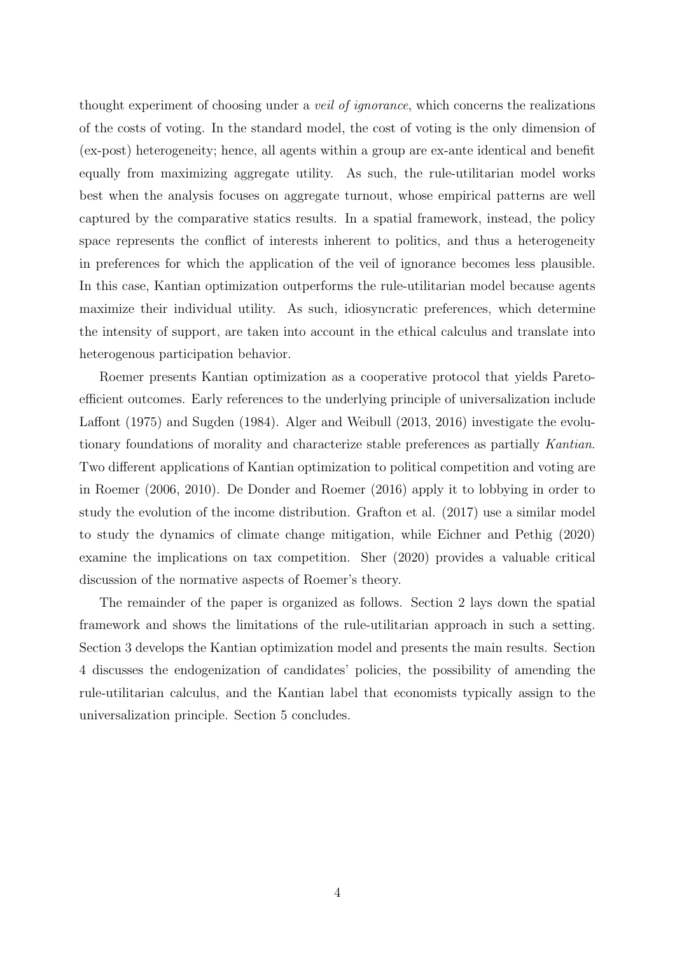thought experiment of choosing under a veil of ignorance, which concerns the realizations of the costs of voting. In the standard model, the cost of voting is the only dimension of (ex-post) heterogeneity; hence, all agents within a group are ex-ante identical and benefit equally from maximizing aggregate utility. As such, the rule-utilitarian model works best when the analysis focuses on aggregate turnout, whose empirical patterns are well captured by the comparative statics results. In a spatial framework, instead, the policy space represents the conflict of interests inherent to politics, and thus a heterogeneity in preferences for which the application of the veil of ignorance becomes less plausible. In this case, Kantian optimization outperforms the rule-utilitarian model because agents maximize their individual utility. As such, idiosyncratic preferences, which determine the intensity of support, are taken into account in the ethical calculus and translate into heterogenous participation behavior.

Roemer presents Kantian optimization as a cooperative protocol that yields Paretoefficient outcomes. Early references to the underlying principle of universalization include Laffont (1975) and Sugden (1984). Alger and Weibull (2013, 2016) investigate the evolutionary foundations of morality and characterize stable preferences as partially Kantian. Two different applications of Kantian optimization to political competition and voting are in Roemer (2006, 2010). De Donder and Roemer (2016) apply it to lobbying in order to study the evolution of the income distribution. Grafton et al. (2017) use a similar model to study the dynamics of climate change mitigation, while Eichner and Pethig (2020) examine the implications on tax competition. Sher (2020) provides a valuable critical discussion of the normative aspects of Roemer's theory.

The remainder of the paper is organized as follows. Section 2 lays down the spatial framework and shows the limitations of the rule-utilitarian approach in such a setting. Section 3 develops the Kantian optimization model and presents the main results. Section 4 discusses the endogenization of candidates' policies, the possibility of amending the rule-utilitarian calculus, and the Kantian label that economists typically assign to the universalization principle. Section 5 concludes.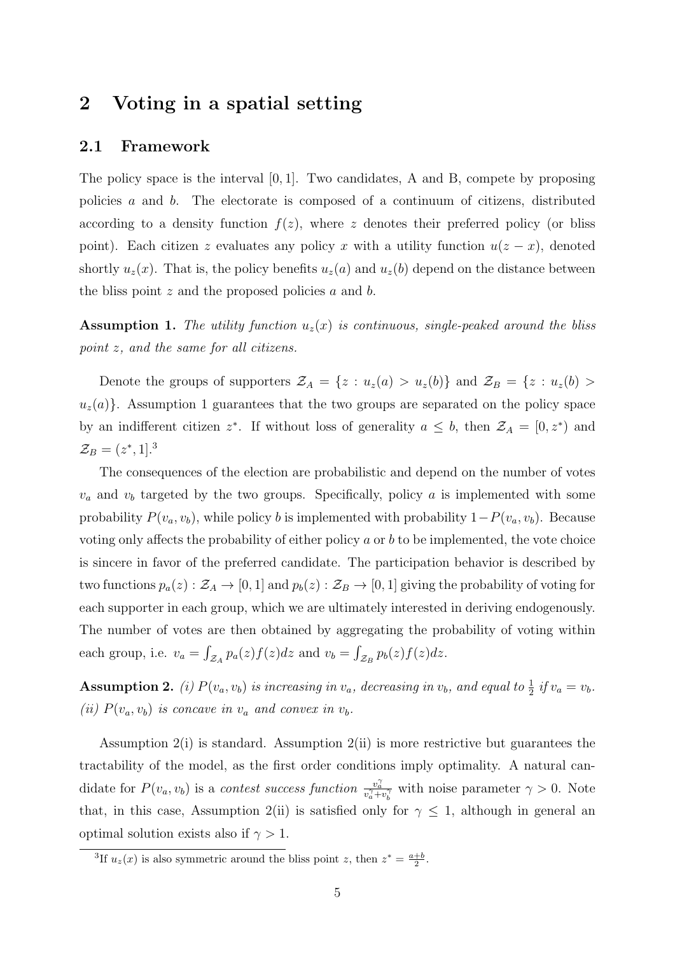## 2 Voting in a spatial setting

#### 2.1 Framework

The policy space is the interval [0, 1]. Two candidates, A and B, compete by proposing policies a and b. The electorate is composed of a continuum of citizens, distributed according to a density function  $f(z)$ , where z denotes their preferred policy (or bliss point). Each citizen z evaluates any policy x with a utility function  $u(z - x)$ , denoted shortly  $u_z(x)$ . That is, the policy benefits  $u_z(a)$  and  $u_z(b)$  depend on the distance between the bliss point  $z$  and the proposed policies  $a$  and  $b$ .

**Assumption 1.** The utility function  $u_z(x)$  is continuous, single-peaked around the bliss point z, and the same for all citizens.

Denote the groups of supporters  $\mathcal{Z}_A = \{z : u_z(a) > u_z(b)\}\$  and  $\mathcal{Z}_B = \{z : u_z(b) > u_z(b)\}\$  $u<sub>z</sub>(a)$ . Assumption 1 guarantees that the two groups are separated on the policy space by an indifferent citizen  $z^*$ . If without loss of generality  $a \leq b$ , then  $\mathcal{Z}_A = [0, z^*)$  and  $\mathcal{Z}_B = (z^*, 1]^{3}$  $\mathcal{Z}_B = (z^*, 1]^{3}$  $\mathcal{Z}_B = (z^*, 1]^{3}$ 

The consequences of the election are probabilistic and depend on the number of votes  $v_a$  and  $v_b$  targeted by the two groups. Specifically, policy a is implemented with some probability  $P(v_a, v_b)$ , while policy b is implemented with probability  $1-P(v_a, v_b)$ . Because voting only affects the probability of either policy  $a$  or  $b$  to be implemented, the vote choice is sincere in favor of the preferred candidate. The participation behavior is described by two functions  $p_a(z): \mathcal{Z}_A \to [0,1]$  and  $p_b(z): \mathcal{Z}_B \to [0,1]$  giving the probability of voting for each supporter in each group, which we are ultimately interested in deriving endogenously. The number of votes are then obtained by aggregating the probability of voting within each group, i.e.  $v_a = \int_{\mathcal{Z}_A} p_a(z) f(z) dz$  and  $v_b = \int_{\mathcal{Z}_B} p_b(z) f(z) dz$ .

**Assumption 2.** (i)  $P(v_a, v_b)$  is increasing in  $v_a$ , decreasing in  $v_b$ , and equal to  $\frac{1}{2}$  if  $v_a = v_b$ . (ii)  $P(v_a, v_b)$  is concave in  $v_a$  and convex in  $v_b$ .

Assumption  $2(i)$  is standard. Assumption  $2(ii)$  is more restrictive but guarantees the tractability of the model, as the first order conditions imply optimality. A natural candidate for  $P(v_a, v_b)$  is a contest success function  $\frac{v_a^{\gamma}}{v_a^{\gamma} + v_b^{\gamma}}$  with noise parameter  $\gamma > 0$ . Note that, in this case, Assumption 2(ii) is satisfied only for  $\gamma \leq 1$ , although in general an optimal solution exists also if  $\gamma > 1$ .

<span id="page-5-0"></span><sup>&</sup>lt;sup>3</sup>If  $u_z(x)$  is also symmetric around the bliss point z, then  $z^* = \frac{a+b}{2}$ .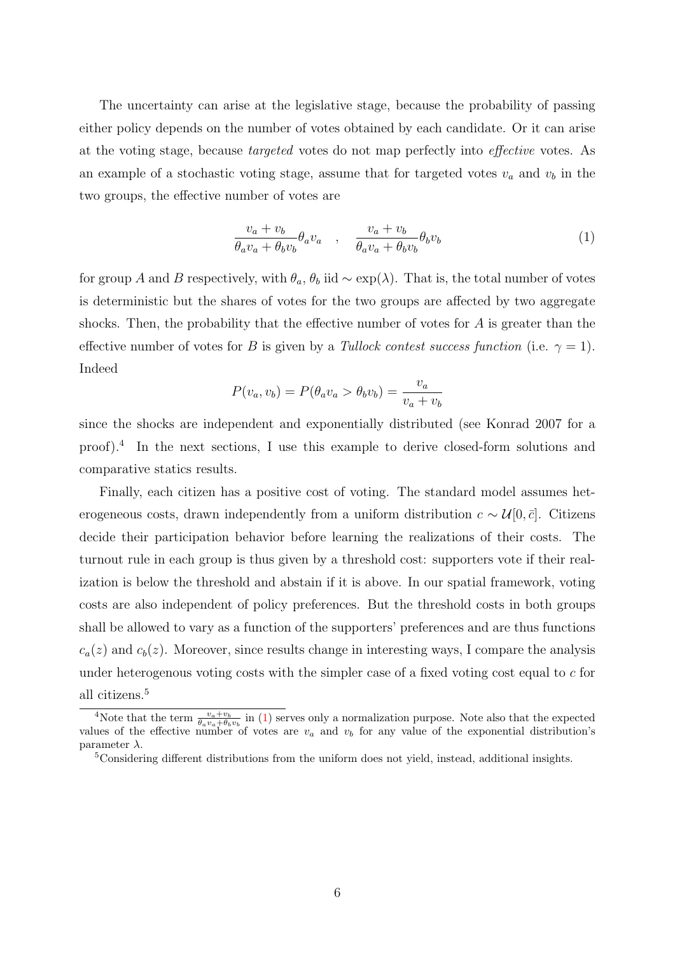The uncertainty can arise at the legislative stage, because the probability of passing either policy depends on the number of votes obtained by each candidate. Or it can arise at the voting stage, because targeted votes do not map perfectly into effective votes. As an example of a stochastic voting stage, assume that for targeted votes  $v_a$  and  $v_b$  in the two groups, the effective number of votes are

<span id="page-6-2"></span>
$$
\frac{v_a + v_b}{\theta_a v_a + \theta_b v_b} \theta_a v_a \quad , \quad \frac{v_a + v_b}{\theta_a v_a + \theta_b v_b} \theta_b v_b \tag{1}
$$

for group A and B respectively, with  $\theta_a$ ,  $\theta_b$  iid  $\sim \exp(\lambda)$ . That is, the total number of votes is deterministic but the shares of votes for the two groups are affected by two aggregate shocks. Then, the probability that the effective number of votes for A is greater than the effective number of votes for B is given by a Tullock contest success function (i.e.  $\gamma = 1$ ). Indeed

$$
P(v_a, v_b) = P(\theta_a v_a > \theta_b v_b) = \frac{v_a}{v_a + v_b}
$$

since the shocks are independent and exponentially distributed (see Konrad 2007 for a proof).[4](#page-6-0) In the next sections, I use this example to derive closed-form solutions and comparative statics results.

Finally, each citizen has a positive cost of voting. The standard model assumes heterogeneous costs, drawn independently from a uniform distribution  $c \sim \mathcal{U}[0, \bar{c}]$ . Citizens decide their participation behavior before learning the realizations of their costs. The turnout rule in each group is thus given by a threshold cost: supporters vote if their realization is below the threshold and abstain if it is above. In our spatial framework, voting costs are also independent of policy preferences. But the threshold costs in both groups shall be allowed to vary as a function of the supporters' preferences and are thus functions  $c_a(z)$  and  $c_b(z)$ . Moreover, since results change in interesting ways, I compare the analysis under heterogenous voting costs with the simpler case of a fixed voting cost equal to  $c$  for all citizens.[5](#page-6-1)

<span id="page-6-0"></span><sup>&</sup>lt;sup>4</sup>Note that the term  $\frac{v_a+v_b}{\theta_a v_a+\theta_b v_b}$  in [\(1\)](#page-6-2) serves only a normalization purpose. Note also that the expected values of the effective number of votes are  $v_a$  and  $v_b$  for any value of the exponential distribution's parameter  $\lambda$ .

<span id="page-6-1"></span><sup>&</sup>lt;sup>5</sup>Considering different distributions from the uniform does not yield, instead, additional insights.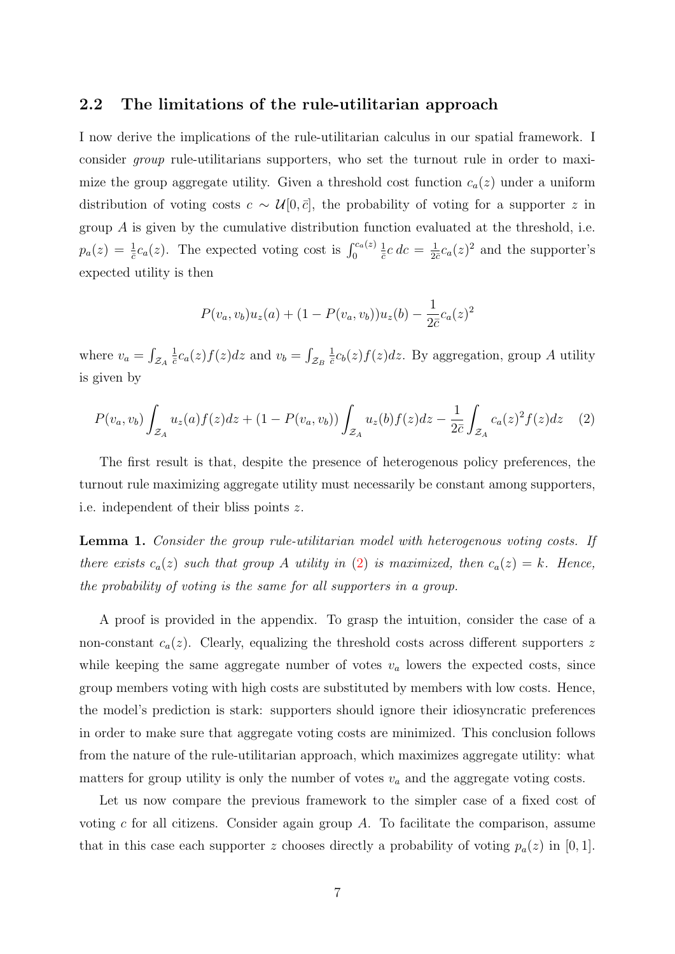#### 2.2 The limitations of the rule-utilitarian approach

I now derive the implications of the rule-utilitarian calculus in our spatial framework. I consider group rule-utilitarians supporters, who set the turnout rule in order to maximize the group aggregate utility. Given a threshold cost function  $c_a(z)$  under a uniform distribution of voting costs  $c \sim \mathcal{U}[0,\bar{c}]$ , the probability of voting for a supporter z in group  $\hat{A}$  is given by the cumulative distribution function evaluated at the threshold, i.e.  $p_a(z) = \frac{1}{c}c_a(z)$ . The expected voting cost is  $\int_0^{c_a(z)}$ 1  $\frac{1}{\bar{c}}c\,dc=\frac{1}{2\bar{c}}$  $\frac{1}{2\bar{c}}c_a(z)^2$  and the supporter's expected utility is then

$$
P(v_a, v_b)u_z(a) + (1 - P(v_a, v_b))u_z(b) - \frac{1}{2\bar{c}}c_a(z)^2
$$

where  $v_a = \int_{\mathcal{Z}_A}$ 1  $\frac{1}{c}c_a(z)f(z)dz$  and  $v_b=\int_{\mathcal{Z}_B}$ 1  $\frac{1}{c}c_b(z)f(z)dz$ . By aggregation, group A utility is given by

<span id="page-7-0"></span>
$$
P(v_a, v_b) \int_{\mathcal{Z}_A} u_z(a) f(z) dz + (1 - P(v_a, v_b)) \int_{\mathcal{Z}_A} u_z(b) f(z) dz - \frac{1}{2\bar{c}} \int_{\mathcal{Z}_A} c_a(z)^2 f(z) dz \tag{2}
$$

The first result is that, despite the presence of heterogenous policy preferences, the turnout rule maximizing aggregate utility must necessarily be constant among supporters, i.e. independent of their bliss points z.

Lemma 1. Consider the group rule-utilitarian model with heterogenous voting costs. If there exists  $c_a(z)$  such that group A utility in [\(2\)](#page-7-0) is maximized, then  $c_a(z) = k$ . Hence, the probability of voting is the same for all supporters in a group.

A proof is provided in the appendix. To grasp the intuition, consider the case of a non-constant  $c_a(z)$ . Clearly, equalizing the threshold costs across different supporters z while keeping the same aggregate number of votes  $v_a$  lowers the expected costs, since group members voting with high costs are substituted by members with low costs. Hence, the model's prediction is stark: supporters should ignore their idiosyncratic preferences in order to make sure that aggregate voting costs are minimized. This conclusion follows from the nature of the rule-utilitarian approach, which maximizes aggregate utility: what matters for group utility is only the number of votes  $v_a$  and the aggregate voting costs.

Let us now compare the previous framework to the simpler case of a fixed cost of voting  $c$  for all citizens. Consider again group  $A$ . To facilitate the comparison, assume that in this case each supporter z chooses directly a probability of voting  $p_a(z)$  in [0, 1].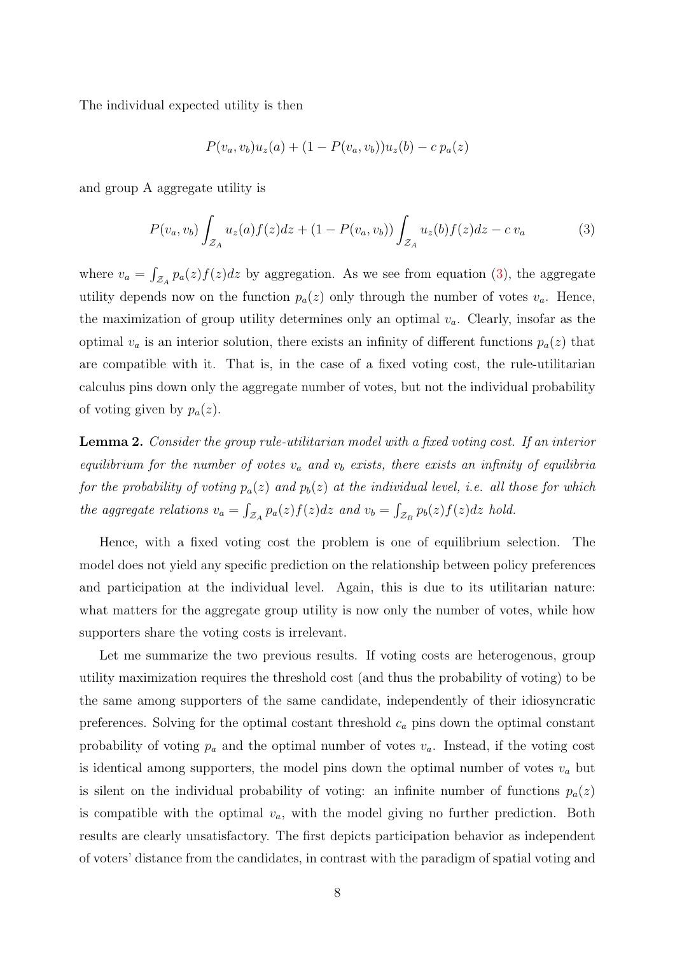The individual expected utility is then

$$
P(v_a, v_b)u_z(a) + (1 - P(v_a, v_b))u_z(b) - c p_a(z)
$$

and group A aggregate utility is

<span id="page-8-0"></span>
$$
P(v_a, v_b) \int_{\mathcal{Z}_A} u_z(a) f(z) dz + (1 - P(v_a, v_b)) \int_{\mathcal{Z}_A} u_z(b) f(z) dz - c v_a \tag{3}
$$

where  $v_a = \int_{\mathcal{Z}_A} p_a(z) f(z) dz$  by aggregation. As we see from equation [\(3\)](#page-8-0), the aggregate utility depends now on the function  $p_a(z)$  only through the number of votes  $v_a$ . Hence, the maximization of group utility determines only an optimal  $v_a$ . Clearly, insofar as the optimal  $v_a$  is an interior solution, there exists an infinity of different functions  $p_a(z)$  that are compatible with it. That is, in the case of a fixed voting cost, the rule-utilitarian calculus pins down only the aggregate number of votes, but not the individual probability of voting given by  $p_a(z)$ .

Lemma 2. Consider the group rule-utilitarian model with a fixed voting cost. If an interior equilibrium for the number of votes  $v_a$  and  $v_b$  exists, there exists an infinity of equilibria for the probability of voting  $p_a(z)$  and  $p_b(z)$  at the individual level, i.e. all those for which the aggregate relations  $v_a = \int_{\mathcal{Z}_A} p_a(z) f(z) dz$  and  $v_b = \int_{\mathcal{Z}_B} p_b(z) f(z) dz$  hold.

Hence, with a fixed voting cost the problem is one of equilibrium selection. The model does not yield any specific prediction on the relationship between policy preferences and participation at the individual level. Again, this is due to its utilitarian nature: what matters for the aggregate group utility is now only the number of votes, while how supporters share the voting costs is irrelevant.

Let me summarize the two previous results. If voting costs are heterogenous, group utility maximization requires the threshold cost (and thus the probability of voting) to be the same among supporters of the same candidate, independently of their idiosyncratic preferences. Solving for the optimal costant threshold  $c_a$  pins down the optimal constant probability of voting  $p_a$  and the optimal number of votes  $v_a$ . Instead, if the voting cost is identical among supporters, the model pins down the optimal number of votes  $v_a$  but is silent on the individual probability of voting: an infinite number of functions  $p_a(z)$ is compatible with the optimal  $v_a$ , with the model giving no further prediction. Both results are clearly unsatisfactory. The first depicts participation behavior as independent of voters' distance from the candidates, in contrast with the paradigm of spatial voting and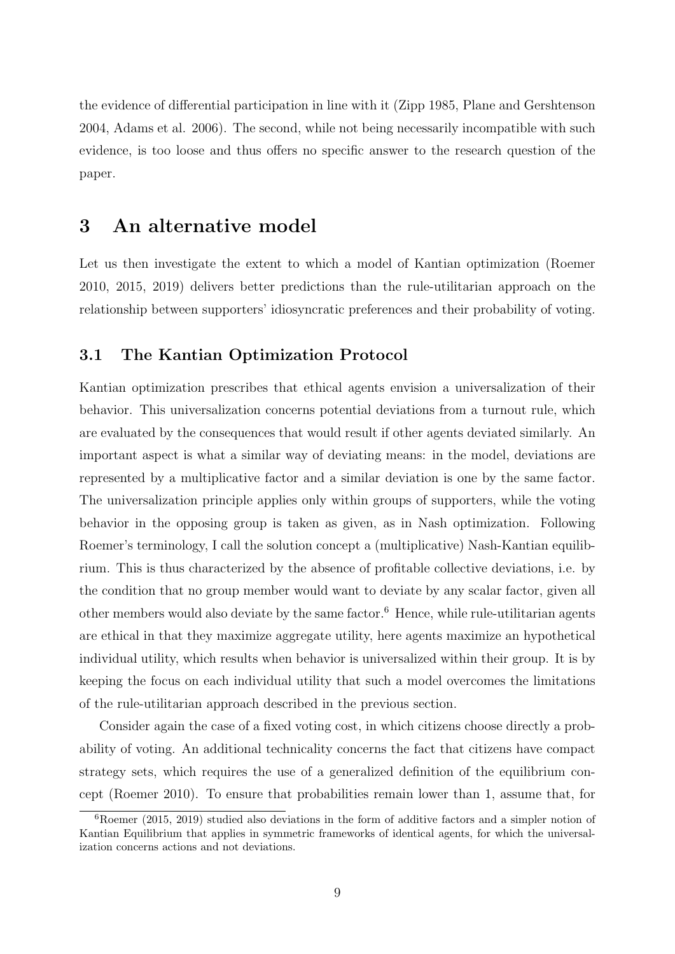the evidence of differential participation in line with it (Zipp 1985, Plane and Gershtenson 2004, Adams et al. 2006). The second, while not being necessarily incompatible with such evidence, is too loose and thus offers no specific answer to the research question of the paper.

## 3 An alternative model

Let us then investigate the extent to which a model of Kantian optimization (Roemer 2010, 2015, 2019) delivers better predictions than the rule-utilitarian approach on the relationship between supporters' idiosyncratic preferences and their probability of voting.

#### 3.1 The Kantian Optimization Protocol

Kantian optimization prescribes that ethical agents envision a universalization of their behavior. This universalization concerns potential deviations from a turnout rule, which are evaluated by the consequences that would result if other agents deviated similarly. An important aspect is what a similar way of deviating means: in the model, deviations are represented by a multiplicative factor and a similar deviation is one by the same factor. The universalization principle applies only within groups of supporters, while the voting behavior in the opposing group is taken as given, as in Nash optimization. Following Roemer's terminology, I call the solution concept a (multiplicative) Nash-Kantian equilibrium. This is thus characterized by the absence of profitable collective deviations, i.e. by the condition that no group member would want to deviate by any scalar factor, given all other members would also deviate by the same factor.<sup>[6](#page-9-0)</sup> Hence, while rule-utilitarian agents are ethical in that they maximize aggregate utility, here agents maximize an hypothetical individual utility, which results when behavior is universalized within their group. It is by keeping the focus on each individual utility that such a model overcomes the limitations of the rule-utilitarian approach described in the previous section.

Consider again the case of a fixed voting cost, in which citizens choose directly a probability of voting. An additional technicality concerns the fact that citizens have compact strategy sets, which requires the use of a generalized definition of the equilibrium concept (Roemer 2010). To ensure that probabilities remain lower than 1, assume that, for

<span id="page-9-0"></span> $6Roemer$  (2015, 2019) studied also deviations in the form of additive factors and a simpler notion of Kantian Equilibrium that applies in symmetric frameworks of identical agents, for which the universalization concerns actions and not deviations.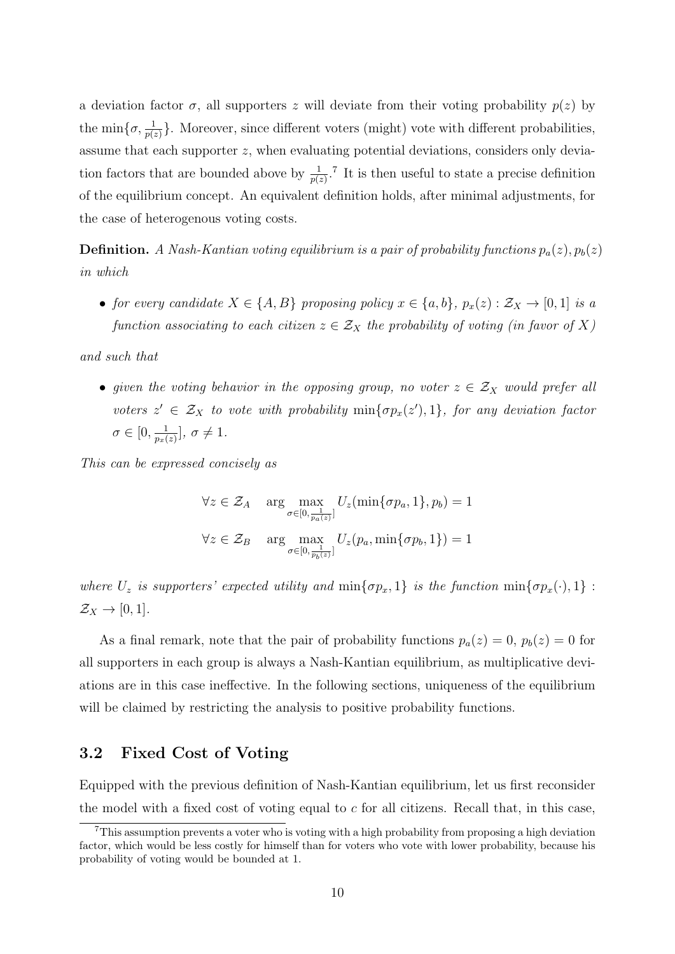a deviation factor  $\sigma$ , all supporters z will deviate from their voting probability  $p(z)$  by the min $\{\sigma, \frac{1}{p(z)}\}$ . Moreover, since different voters (might) vote with different probabilities, assume that each supporter z, when evaluating potential deviations, considers only deviation factors that are bounded above by  $\frac{1}{p(z)}$ .<sup>[7](#page-10-0)</sup> It is then useful to state a precise definition of the equilibrium concept. An equivalent definition holds, after minimal adjustments, for the case of heterogenous voting costs.

**Definition.** A Nash-Kantian voting equilibrium is a pair of probability functions  $p_a(z)$ ,  $p_b(z)$ in which

• for every candidate  $X \in \{A, B\}$  proposing policy  $x \in \{a, b\}$ ,  $p_x(z) : \mathcal{Z}_X \to [0, 1]$  is a function associating to each citizen  $z \in \mathcal{Z}_X$  the probability of voting (in favor of X)

and such that

• given the voting behavior in the opposing group, no voter  $z \in \mathcal{Z}_X$  would prefer all voters  $z' \in \mathcal{Z}_X$  to vote with probability  $\min\{\sigma p_x(z'), 1\}$ , for any deviation factor  $\sigma \in [0, \frac{1}{n-1}]$  $\frac{1}{p_x(z)}$ ,  $\sigma \neq 1$ .

This can be expressed concisely as

$$
\forall z \in \mathcal{Z}_A \quad \arg\max_{\sigma \in [0, \frac{1}{p_a(z)}]} U_z(\min\{\sigma p_a, 1\}, p_b) = 1
$$
  

$$
\forall z \in \mathcal{Z}_B \quad \arg\max_{\sigma \in [0, \frac{1}{p_b(z)}]} U_z(p_a, \min\{\sigma p_b, 1\}) = 1
$$

where  $U_z$  is supporters' expected utility and  $\min\{\sigma p_x, 1\}$  is the function  $\min\{\sigma p_x(\cdot), 1\}$ :  $\mathcal{Z}_X \to [0,1].$ 

As a final remark, note that the pair of probability functions  $p_a(z) = 0$ ,  $p_b(z) = 0$  for all supporters in each group is always a Nash-Kantian equilibrium, as multiplicative deviations are in this case ineffective. In the following sections, uniqueness of the equilibrium will be claimed by restricting the analysis to positive probability functions.

#### 3.2 Fixed Cost of Voting

Equipped with the previous definition of Nash-Kantian equilibrium, let us first reconsider the model with a fixed cost of voting equal to  $c$  for all citizens. Recall that, in this case,

<span id="page-10-0"></span><sup>7</sup>This assumption prevents a voter who is voting with a high probability from proposing a high deviation factor, which would be less costly for himself than for voters who vote with lower probability, because his probability of voting would be bounded at 1.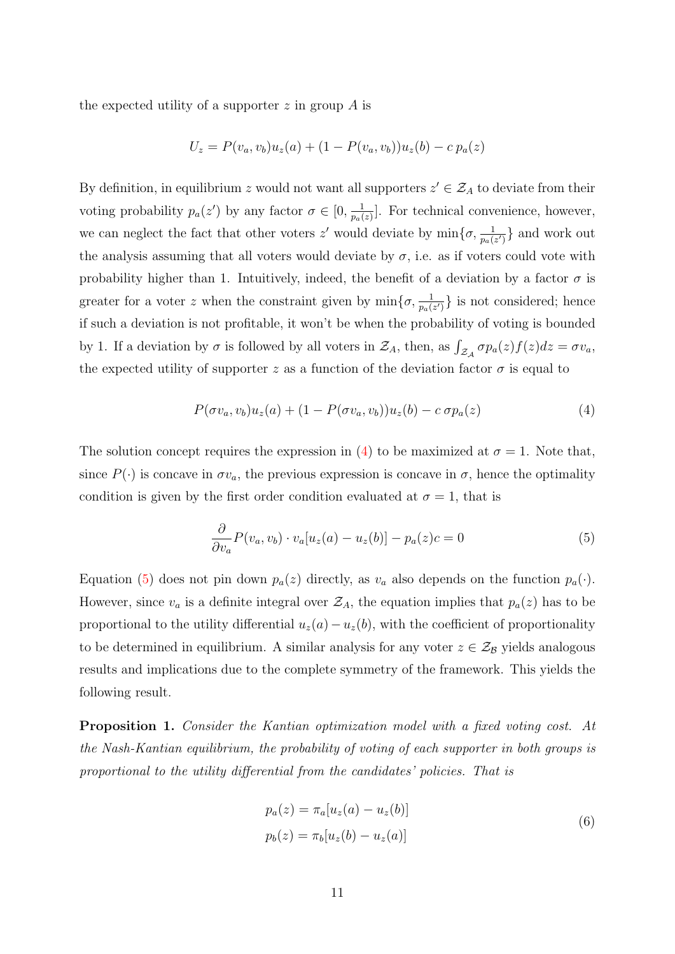the expected utility of a supporter  $z$  in group  $\overline{A}$  is

$$
U_z = P(v_a, v_b)u_z(a) + (1 - P(v_a, v_b))u_z(b) - c p_a(z)
$$

By definition, in equilibrium z would not want all supporters  $z' \in \mathcal{Z}_A$  to deviate from their voting probability  $p_a(z')$  by any factor  $\sigma \in [0, \frac{1}{p_a}$  $\frac{1}{p_a(z)}$ . For technical convenience, however, we can neglect the fact that other voters z' would deviate by  $\min\{\sigma, \frac{1}{p_a(z')}\}\$  and work out the analysis assuming that all voters would deviate by  $\sigma$ , i.e. as if voters could vote with probability higher than 1. Intuitively, indeed, the benefit of a deviation by a factor  $\sigma$  is greater for a voter z when the constraint given by  $\min\{\sigma, \frac{1}{p_a(z')}\}\)$  is not considered; hence if such a deviation is not profitable, it won't be when the probability of voting is bounded by 1. If a deviation by  $\sigma$  is followed by all voters in  $\mathcal{Z}_A$ , then, as  $\int_{\mathcal{Z}_A} \sigma p_a(z) f(z) dz = \sigma v_a$ , the expected utility of supporter z as a function of the deviation factor  $\sigma$  is equal to

<span id="page-11-0"></span>
$$
P(\sigma v_a, v_b)u_z(a) + (1 - P(\sigma v_a, v_b))u_z(b) - c \sigma p_a(z) \tag{4}
$$

The solution concept requires the expression in [\(4\)](#page-11-0) to be maximized at  $\sigma = 1$ . Note that, since  $P(\cdot)$  is concave in  $\sigma v_a$ , the previous expression is concave in  $\sigma$ , hence the optimality condition is given by the first order condition evaluated at  $\sigma = 1$ , that is

<span id="page-11-1"></span>
$$
\frac{\partial}{\partial v_a} P(v_a, v_b) \cdot v_a[u_z(a) - u_z(b)] - p_a(z)c = 0 \tag{5}
$$

Equation [\(5\)](#page-11-1) does not pin down  $p_a(z)$  directly, as  $v_a$  also depends on the function  $p_a(\cdot)$ . However, since  $v_a$  is a definite integral over  $\mathcal{Z}_A$ , the equation implies that  $p_a(z)$  has to be proportional to the utility differential  $u_z(a)-u_z(b)$ , with the coefficient of proportionality to be determined in equilibrium. A similar analysis for any voter  $z \in \mathcal{Z}_B$  yields analogous results and implications due to the complete symmetry of the framework. This yields the following result.

Proposition 1. Consider the Kantian optimization model with a fixed voting cost. At the Nash-Kantian equilibrium, the probability of voting of each supporter in both groups is proportional to the utility differential from the candidates' policies. That is

<span id="page-11-2"></span>
$$
p_a(z) = \pi_a[u_z(a) - u_z(b)]
$$
  
\n
$$
p_b(z) = \pi_b[u_z(b) - u_z(a)]
$$
\n(6)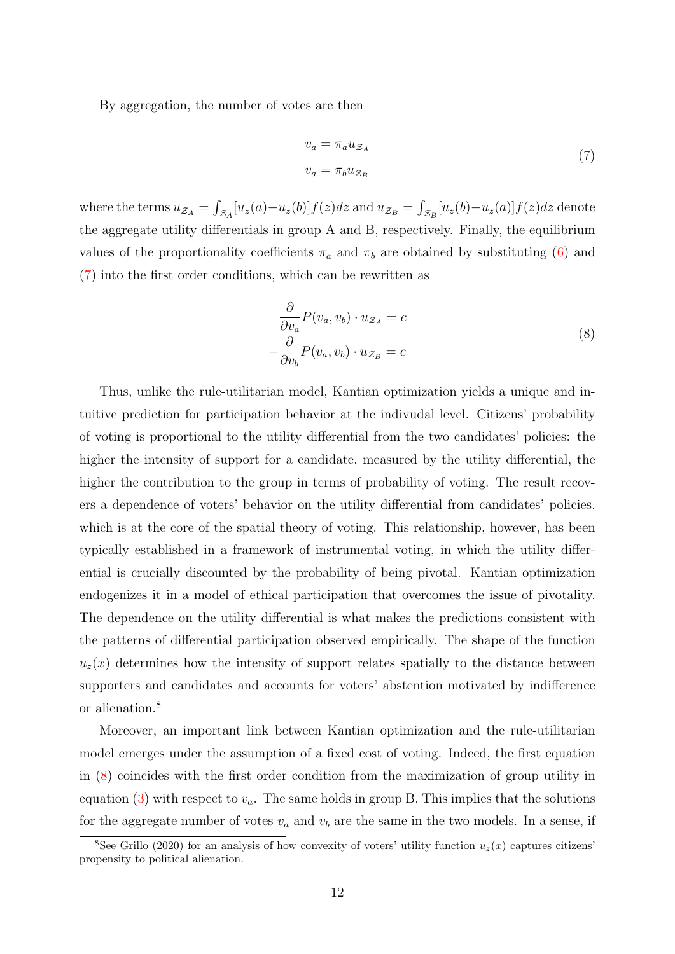By aggregation, the number of votes are then

<span id="page-12-0"></span>
$$
v_a = \pi_a u_{\mathcal{Z}_A}
$$
  
\n
$$
v_a = \pi_b u_{\mathcal{Z}_B}
$$
\n(7)

where the terms  $u_{\mathcal{Z}_A} = \int_{\mathcal{Z}_A} [u_z(a) - u_z(b)] f(z) dz$  and  $u_{\mathcal{Z}_B} = \int_{\mathcal{Z}_B} [u_z(b) - u_z(a)] f(z) dz$  denote the aggregate utility differentials in group A and B, respectively. Finally, the equilibrium values of the proportionality coefficients  $\pi_a$  and  $\pi_b$  are obtained by substituting [\(6\)](#page-11-2) and [\(7\)](#page-12-0) into the first order conditions, which can be rewritten as

<span id="page-12-2"></span>
$$
\frac{\partial}{\partial v_a} P(v_a, v_b) \cdot u_{\mathcal{Z}_A} = c
$$
\n
$$
-\frac{\partial}{\partial v_b} P(v_a, v_b) \cdot u_{\mathcal{Z}_B} = c
$$
\n(8)

Thus, unlike the rule-utilitarian model, Kantian optimization yields a unique and intuitive prediction for participation behavior at the indivudal level. Citizens' probability of voting is proportional to the utility differential from the two candidates' policies: the higher the intensity of support for a candidate, measured by the utility differential, the higher the contribution to the group in terms of probability of voting. The result recovers a dependence of voters' behavior on the utility differential from candidates' policies, which is at the core of the spatial theory of voting. This relationship, however, has been typically established in a framework of instrumental voting, in which the utility differential is crucially discounted by the probability of being pivotal. Kantian optimization endogenizes it in a model of ethical participation that overcomes the issue of pivotality. The dependence on the utility differential is what makes the predictions consistent with the patterns of differential participation observed empirically. The shape of the function  $u<sub>z</sub>(x)$  determines how the intensity of support relates spatially to the distance between supporters and candidates and accounts for voters' abstention motivated by indifference or alienation.[8](#page-12-1)

Moreover, an important link between Kantian optimization and the rule-utilitarian model emerges under the assumption of a fixed cost of voting. Indeed, the first equation in [\(8\)](#page-12-2) coincides with the first order condition from the maximization of group utility in equation [\(3\)](#page-8-0) with respect to  $v_a$ . The same holds in group B. This implies that the solutions for the aggregate number of votes  $v_a$  and  $v_b$  are the same in the two models. In a sense, if

<span id="page-12-1"></span><sup>&</sup>lt;sup>8</sup>See Grillo (2020) for an analysis of how convexity of voters' utility function  $u_z(x)$  captures citizens' propensity to political alienation.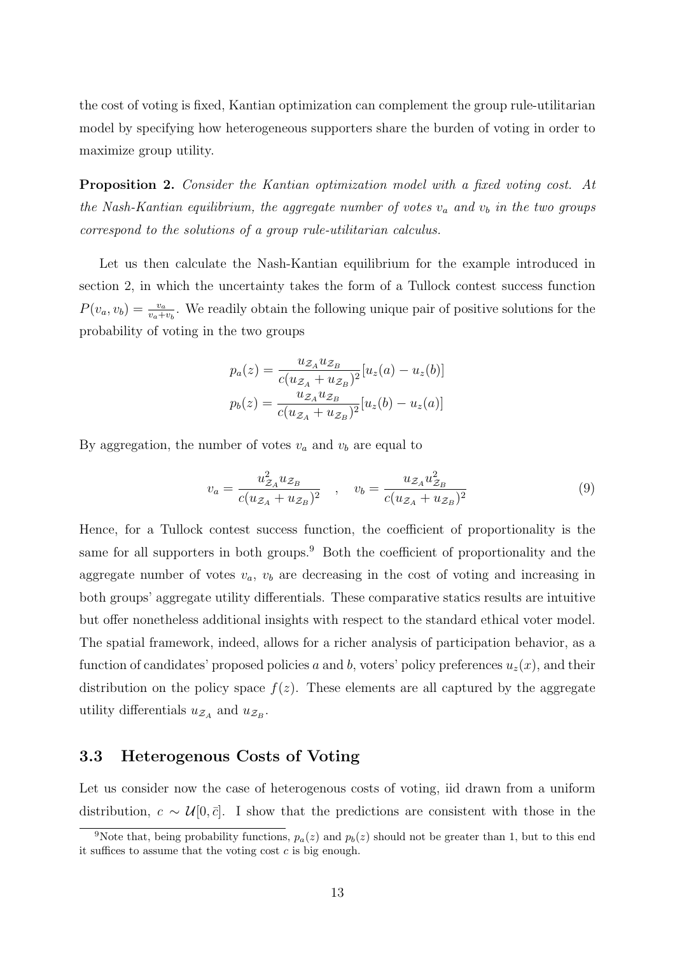the cost of voting is fixed, Kantian optimization can complement the group rule-utilitarian model by specifying how heterogeneous supporters share the burden of voting in order to maximize group utility.

Proposition 2. Consider the Kantian optimization model with a fixed voting cost. At the Nash-Kantian equilibrium, the aggregate number of votes  $v_a$  and  $v_b$  in the two groups correspond to the solutions of a group rule-utilitarian calculus.

Let us then calculate the Nash-Kantian equilibrium for the example introduced in section 2, in which the uncertainty takes the form of a Tullock contest success function  $P(v_a, v_b) = \frac{v_a}{v_a + v_b}$ . We readily obtain the following unique pair of positive solutions for the probability of voting in the two groups

$$
p_a(z) = \frac{u_{\mathcal{Z}_A} u_{\mathcal{Z}_B}}{c(u_{\mathcal{Z}_A} + u_{\mathcal{Z}_B})^2} [u_z(a) - u_z(b)]
$$
  

$$
p_b(z) = \frac{u_{\mathcal{Z}_A} u_{\mathcal{Z}_B}}{c(u_{\mathcal{Z}_A} + u_{\mathcal{Z}_B})^2} [u_z(b) - u_z(a)]
$$

By aggregation, the number of votes  $v_a$  and  $v_b$  are equal to

<span id="page-13-1"></span>
$$
v_a = \frac{u_{\mathcal{Z}_A}^2 u_{\mathcal{Z}_B}}{c(u_{\mathcal{Z}_A} + u_{\mathcal{Z}_B})^2} \quad , \quad v_b = \frac{u_{\mathcal{Z}_A} u_{\mathcal{Z}_B}^2}{c(u_{\mathcal{Z}_A} + u_{\mathcal{Z}_B})^2} \tag{9}
$$

Hence, for a Tullock contest success function, the coefficient of proportionality is the same for all supporters in both groups.<sup>[9](#page-13-0)</sup> Both the coefficient of proportionality and the aggregate number of votes  $v_a$ ,  $v_b$  are decreasing in the cost of voting and increasing in both groups' aggregate utility differentials. These comparative statics results are intuitive but offer nonetheless additional insights with respect to the standard ethical voter model. The spatial framework, indeed, allows for a richer analysis of participation behavior, as a function of candidates' proposed policies a and b, voters' policy preferences  $u_z(x)$ , and their distribution on the policy space  $f(z)$ . These elements are all captured by the aggregate utility differentials  $u_{\mathcal{Z}_A}$  and  $u_{\mathcal{Z}_B}$ .

#### 3.3 Heterogenous Costs of Voting

Let us consider now the case of heterogenous costs of voting, iid drawn from a uniform distribution,  $c \sim \mathcal{U}[0, \bar{c}]$ . I show that the predictions are consistent with those in the

<span id="page-13-0"></span><sup>&</sup>lt;sup>9</sup>Note that, being probability functions,  $p_a(z)$  and  $p_b(z)$  should not be greater than 1, but to this end it suffices to assume that the voting cost  $c$  is big enough.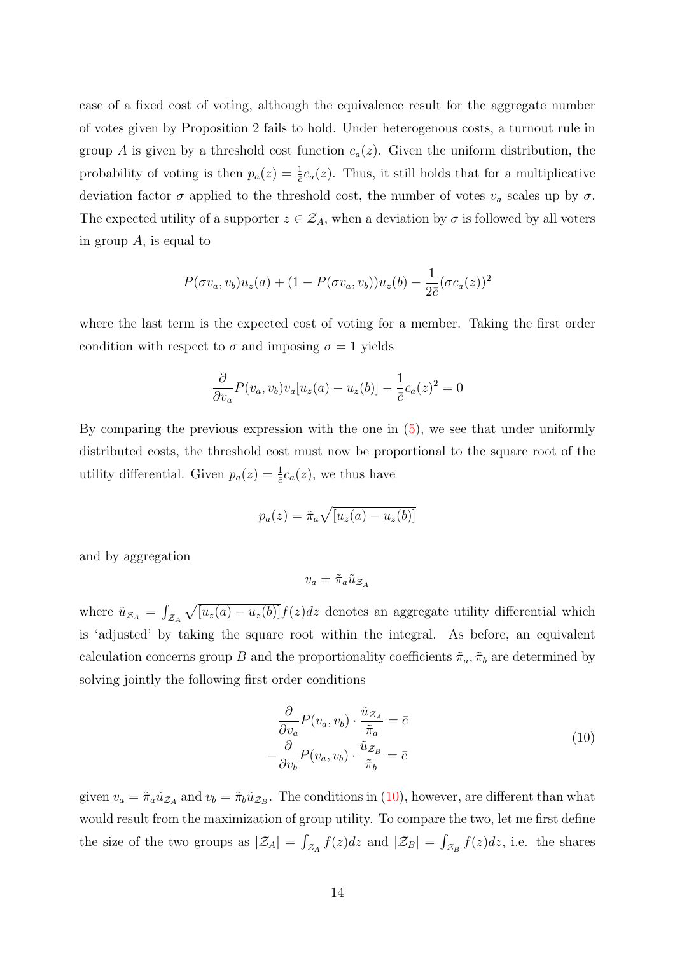case of a fixed cost of voting, although the equivalence result for the aggregate number of votes given by Proposition 2 fails to hold. Under heterogenous costs, a turnout rule in group A is given by a threshold cost function  $c_a(z)$ . Given the uniform distribution, the probability of voting is then  $p_a(z) = \frac{1}{\bar{c}}c_a(z)$ . Thus, it still holds that for a multiplicative deviation factor  $\sigma$  applied to the threshold cost, the number of votes  $v_a$  scales up by  $\sigma$ . The expected utility of a supporter  $z \in \mathcal{Z}_A$ , when a deviation by  $\sigma$  is followed by all voters in group  $A$ , is equal to

$$
P(\sigma v_a, v_b)u_z(a) + (1 - P(\sigma v_a, v_b))u_z(b) - \frac{1}{2\bar{c}}(\sigma c_a(z))^2
$$

where the last term is the expected cost of voting for a member. Taking the first order condition with respect to  $\sigma$  and imposing  $\sigma = 1$  yields

$$
\frac{\partial}{\partial v_a}P(v_a, v_b)v_a[u_z(a) - u_z(b)] - \frac{1}{\bar{c}}c_a(z)^2 = 0
$$

By comparing the previous expression with the one in [\(5\)](#page-11-1), we see that under uniformly distributed costs, the threshold cost must now be proportional to the square root of the utility differential. Given  $p_a(z) = \frac{1}{c}c_a(z)$ , we thus have

$$
p_a(z) = \tilde{\pi}_a \sqrt{[u_z(a) - u_z(b)]}
$$

and by aggregation

$$
v_a = \tilde{\pi}_a \tilde{u}_{\mathcal{Z}_A}
$$

where  $\tilde{u}_{Z_A} = \int_{Z_A} \sqrt{[u_z(a) - u_z(b)]} f(z) dz$  denotes an aggregate utility differential which is 'adjusted' by taking the square root within the integral. As before, an equivalent calculation concerns group B and the proportionality coefficients  $\tilde{\pi}_a$ ,  $\tilde{\pi}_b$  are determined by solving jointly the following first order conditions

<span id="page-14-0"></span>
$$
\frac{\partial}{\partial v_a} P(v_a, v_b) \cdot \frac{\tilde{u}_{\mathcal{Z}_A}}{\tilde{\pi}_a} = \bar{c}
$$
\n
$$
-\frac{\partial}{\partial v_b} P(v_a, v_b) \cdot \frac{\tilde{u}_{\mathcal{Z}_B}}{\tilde{\pi}_b} = \bar{c}
$$
\n(10)

given  $v_a = \tilde{\pi}_a \tilde{u}_{Z_A}$  and  $v_b = \tilde{\pi}_b \tilde{u}_{Z_B}$ . The conditions in [\(10\)](#page-14-0), however, are different than what would result from the maximization of group utility. To compare the two, let me first define the size of the two groups as  $|\mathcal{Z}_A| = \int_{\mathcal{Z}_A} f(z)dz$  and  $|\mathcal{Z}_B| = \int_{\mathcal{Z}_B} f(z)dz$ , i.e. the shares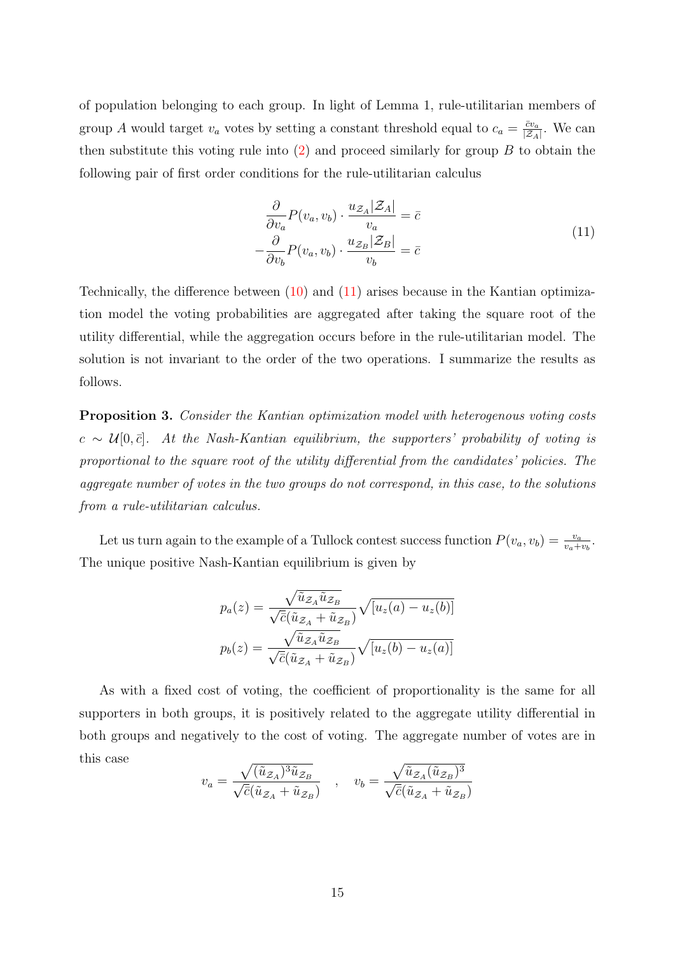of population belonging to each group. In light of Lemma 1, rule-utilitarian members of group A would target  $v_a$  votes by setting a constant threshold equal to  $c_a = \frac{\bar{c}v_a}{\bar{c}a}$  $\frac{\bar{c}v_a}{|\mathcal{Z}_A|}$ . We can then substitute this voting rule into  $(2)$  and proceed similarly for group B to obtain the following pair of first order conditions for the rule-utilitarian calculus

<span id="page-15-0"></span>
$$
\frac{\partial}{\partial v_a} P(v_a, v_b) \cdot \frac{u_{\mathcal{Z}_A} |\mathcal{Z}_A|}{v_a} = \bar{c}
$$
\n
$$
-\frac{\partial}{\partial v_b} P(v_a, v_b) \cdot \frac{u_{\mathcal{Z}_B} |\mathcal{Z}_B|}{v_b} = \bar{c}
$$
\n(11)

Technically, the difference between [\(10\)](#page-14-0) and [\(11\)](#page-15-0) arises because in the Kantian optimization model the voting probabilities are aggregated after taking the square root of the utility differential, while the aggregation occurs before in the rule-utilitarian model. The solution is not invariant to the order of the two operations. I summarize the results as follows.

Proposition 3. Consider the Kantian optimization model with heterogenous voting costs  $c \sim \mathcal{U}[0,\bar{c}]$ . At the Nash-Kantian equilibrium, the supporters' probability of voting is proportional to the square root of the utility differential from the candidates' policies. The aggregate number of votes in the two groups do not correspond, in this case, to the solutions from a rule-utilitarian calculus.

Let us turn again to the example of a Tullock contest success function  $P(v_a, v_b) = \frac{v_a}{v_a + v_b}$ . The unique positive Nash-Kantian equilibrium is given by

$$
p_a(z) = \frac{\sqrt{\tilde{u}_{Z_A}\tilde{u}_{Z_B}}}{\sqrt{\bar{c}}(\tilde{u}_{Z_A} + \tilde{u}_{Z_B})} \sqrt{[u_z(a) - u_z(b)]}
$$

$$
p_b(z) = \frac{\sqrt{\tilde{u}_{Z_A}\tilde{u}_{Z_B}}}{\sqrt{\bar{c}}(\tilde{u}_{Z_A} + \tilde{u}_{Z_B})} \sqrt{[u_z(b) - u_z(a)]}
$$

As with a fixed cost of voting, the coefficient of proportionality is the same for all supporters in both groups, it is positively related to the aggregate utility differential in both groups and negatively to the cost of voting. The aggregate number of votes are in this case

$$
v_a = \frac{\sqrt{(\tilde{u}_{\mathcal{Z}_A})^3 \tilde{u}_{\mathcal{Z}_B}}}{\sqrt{\bar{c}}(\tilde{u}_{\mathcal{Z}_A} + \tilde{u}_{\mathcal{Z}_B})} \quad , \quad v_b = \frac{\sqrt{\tilde{u}_{\mathcal{Z}_A}(\tilde{u}_{\mathcal{Z}_B})^3}}{\sqrt{\bar{c}}(\tilde{u}_{\mathcal{Z}_A} + \tilde{u}_{\mathcal{Z}_B})}
$$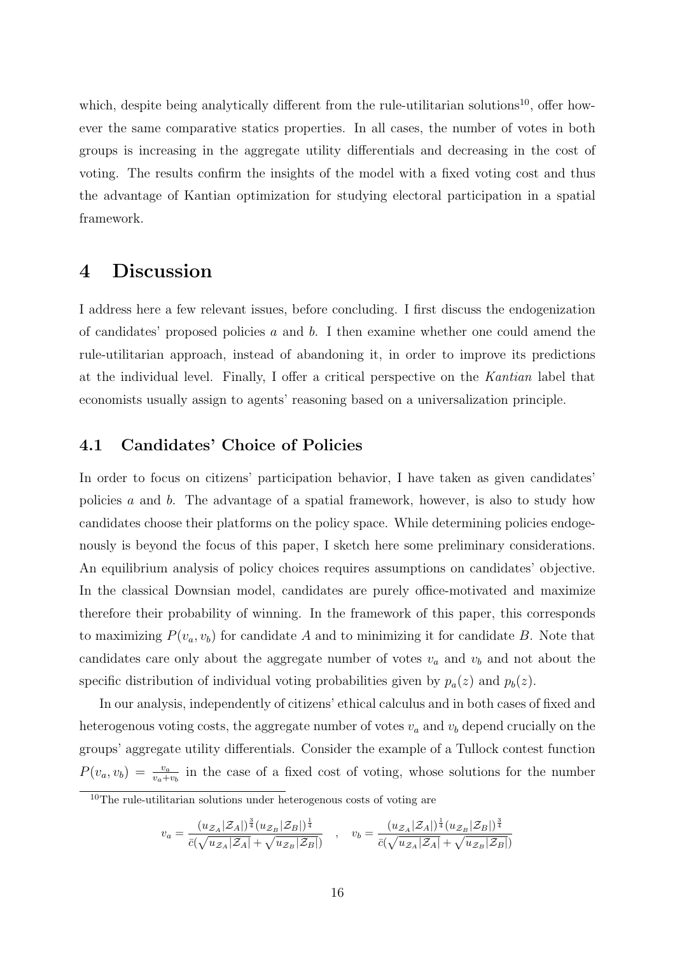which, despite being analytically different from the rule-utilitarian solutions<sup>[10](#page-16-0)</sup>, offer however the same comparative statics properties. In all cases, the number of votes in both groups is increasing in the aggregate utility differentials and decreasing in the cost of voting. The results confirm the insights of the model with a fixed voting cost and thus the advantage of Kantian optimization for studying electoral participation in a spatial framework.

## 4 Discussion

I address here a few relevant issues, before concluding. I first discuss the endogenization of candidates' proposed policies  $a$  and  $b$ . I then examine whether one could amend the rule-utilitarian approach, instead of abandoning it, in order to improve its predictions at the individual level. Finally, I offer a critical perspective on the Kantian label that economists usually assign to agents' reasoning based on a universalization principle.

#### 4.1 Candidates' Choice of Policies

In order to focus on citizens' participation behavior, I have taken as given candidates' policies a and b. The advantage of a spatial framework, however, is also to study how candidates choose their platforms on the policy space. While determining policies endogenously is beyond the focus of this paper, I sketch here some preliminary considerations. An equilibrium analysis of policy choices requires assumptions on candidates' objective. In the classical Downsian model, candidates are purely office-motivated and maximize therefore their probability of winning. In the framework of this paper, this corresponds to maximizing  $P(v_a, v_b)$  for candidate A and to minimizing it for candidate B. Note that candidates care only about the aggregate number of votes  $v_a$  and  $v_b$  and not about the specific distribution of individual voting probabilities given by  $p_a(z)$  and  $p_b(z)$ .

In our analysis, independently of citizens' ethical calculus and in both cases of fixed and heterogenous voting costs, the aggregate number of votes  $v_a$  and  $v_b$  depend crucially on the groups' aggregate utility differentials. Consider the example of a Tullock contest function  $P(v_a, v_b) = \frac{v_a}{v_a + v_b}$  in the case of a fixed cost of voting, whose solutions for the number

$$
v_a = \frac{(u_{\mathcal{Z}_A}|\mathcal{Z}_A|)^{\frac{3}{4}}(u_{\mathcal{Z}_B}|\mathcal{Z}_B|)^{\frac{1}{4}}}{\bar{c}(\sqrt{u_{\mathcal{Z}_A}|\mathcal{Z}_A|} + \sqrt{u_{\mathcal{Z}_B}|\mathcal{Z}_B|})}, \quad v_b = \frac{(u_{\mathcal{Z}_A}|\mathcal{Z}_A|)^{\frac{1}{4}}(u_{\mathcal{Z}_B}|\mathcal{Z}_B|)^{\frac{3}{4}}}{\bar{c}(\sqrt{u_{\mathcal{Z}_A}|\mathcal{Z}_A|} + \sqrt{u_{\mathcal{Z}_B}|\mathcal{Z}_B|})}
$$

<span id="page-16-0"></span><sup>10</sup>The rule-utilitarian solutions under heterogenous costs of voting are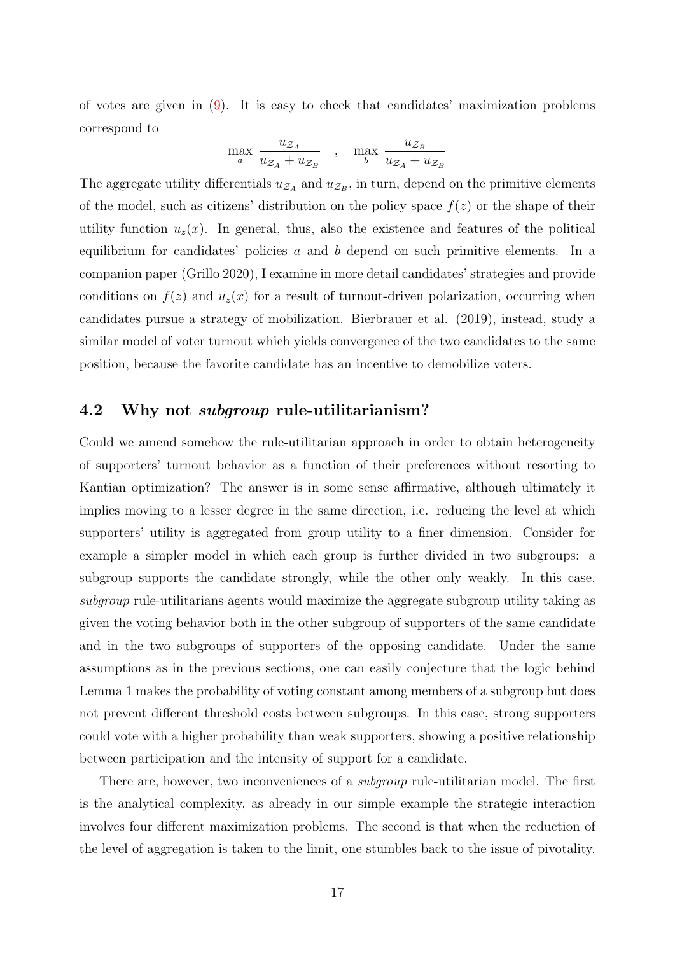of votes are given in [\(9\)](#page-13-1). It is easy to check that candidates' maximization problems correspond to

$$
\max_{a} \frac{u_{\mathcal{Z}_A}}{u_{\mathcal{Z}_A} + u_{\mathcal{Z}_B}} \quad , \quad \max_{b} \frac{u_{\mathcal{Z}_B}}{u_{\mathcal{Z}_A} + u_{\mathcal{Z}_B}}
$$

The aggregate utility differentials  $u_{\mathcal{Z}_A}$  and  $u_{\mathcal{Z}_B}$ , in turn, depend on the primitive elements of the model, such as citizens' distribution on the policy space  $f(z)$  or the shape of their utility function  $u_z(x)$ . In general, thus, also the existence and features of the political equilibrium for candidates' policies a and b depend on such primitive elements. In a companion paper (Grillo 2020), I examine in more detail candidates' strategies and provide conditions on  $f(z)$  and  $u_z(x)$  for a result of turnout-driven polarization, occurring when candidates pursue a strategy of mobilization. Bierbrauer et al. (2019), instead, study a similar model of voter turnout which yields convergence of the two candidates to the same position, because the favorite candidate has an incentive to demobilize voters.

#### 4.2 Why not subgroup rule-utilitarianism?

Could we amend somehow the rule-utilitarian approach in order to obtain heterogeneity of supporters' turnout behavior as a function of their preferences without resorting to Kantian optimization? The answer is in some sense affirmative, although ultimately it implies moving to a lesser degree in the same direction, i.e. reducing the level at which supporters' utility is aggregated from group utility to a finer dimension. Consider for example a simpler model in which each group is further divided in two subgroups: a subgroup supports the candidate strongly, while the other only weakly. In this case, subgroup rule-utilitarians agents would maximize the aggregate subgroup utility taking as given the voting behavior both in the other subgroup of supporters of the same candidate and in the two subgroups of supporters of the opposing candidate. Under the same assumptions as in the previous sections, one can easily conjecture that the logic behind Lemma 1 makes the probability of voting constant among members of a subgroup but does not prevent different threshold costs between subgroups. In this case, strong supporters could vote with a higher probability than weak supporters, showing a positive relationship between participation and the intensity of support for a candidate.

There are, however, two inconveniences of a *subgroup* rule-utilitarian model. The first is the analytical complexity, as already in our simple example the strategic interaction involves four different maximization problems. The second is that when the reduction of the level of aggregation is taken to the limit, one stumbles back to the issue of pivotality.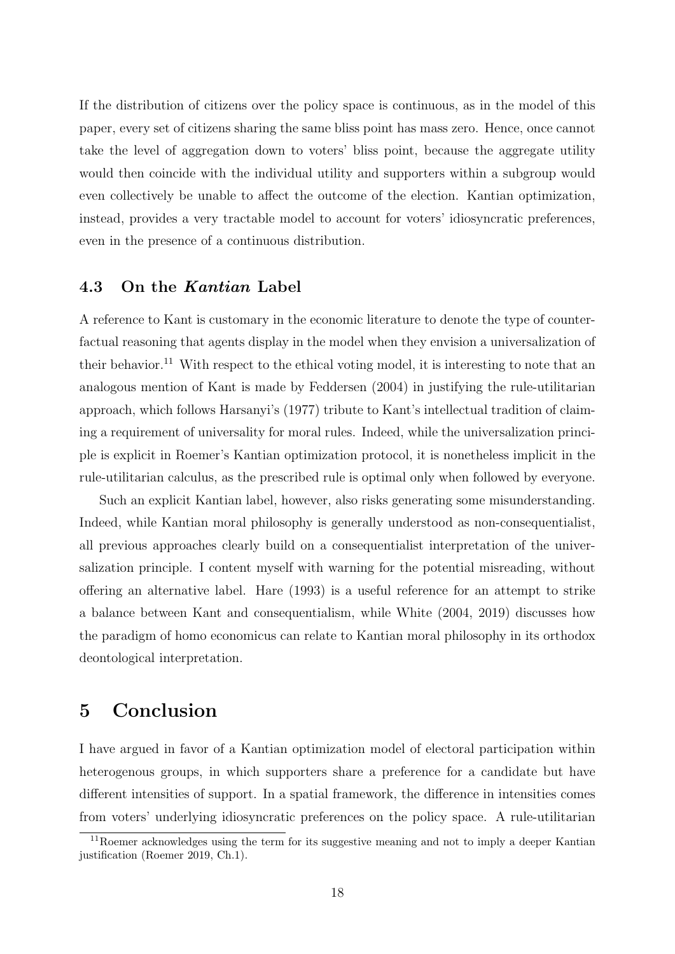If the distribution of citizens over the policy space is continuous, as in the model of this paper, every set of citizens sharing the same bliss point has mass zero. Hence, once cannot take the level of aggregation down to voters' bliss point, because the aggregate utility would then coincide with the individual utility and supporters within a subgroup would even collectively be unable to affect the outcome of the election. Kantian optimization, instead, provides a very tractable model to account for voters' idiosyncratic preferences, even in the presence of a continuous distribution.

#### 4.3 On the Kantian Label

A reference to Kant is customary in the economic literature to denote the type of counterfactual reasoning that agents display in the model when they envision a universalization of their behavior.<sup>[11](#page-18-0)</sup> With respect to the ethical voting model, it is interesting to note that an analogous mention of Kant is made by Feddersen (2004) in justifying the rule-utilitarian approach, which follows Harsanyi's (1977) tribute to Kant's intellectual tradition of claiming a requirement of universality for moral rules. Indeed, while the universalization principle is explicit in Roemer's Kantian optimization protocol, it is nonetheless implicit in the rule-utilitarian calculus, as the prescribed rule is optimal only when followed by everyone.

Such an explicit Kantian label, however, also risks generating some misunderstanding. Indeed, while Kantian moral philosophy is generally understood as non-consequentialist, all previous approaches clearly build on a consequentialist interpretation of the universalization principle. I content myself with warning for the potential misreading, without offering an alternative label. Hare (1993) is a useful reference for an attempt to strike a balance between Kant and consequentialism, while White (2004, 2019) discusses how the paradigm of homo economicus can relate to Kantian moral philosophy in its orthodox deontological interpretation.

## 5 Conclusion

I have argued in favor of a Kantian optimization model of electoral participation within heterogenous groups, in which supporters share a preference for a candidate but have different intensities of support. In a spatial framework, the difference in intensities comes from voters' underlying idiosyncratic preferences on the policy space. A rule-utilitarian

<span id="page-18-0"></span><sup>&</sup>lt;sup>11</sup>Roemer acknowledges using the term for its suggestive meaning and not to imply a deeper Kantian justification (Roemer 2019, Ch.1).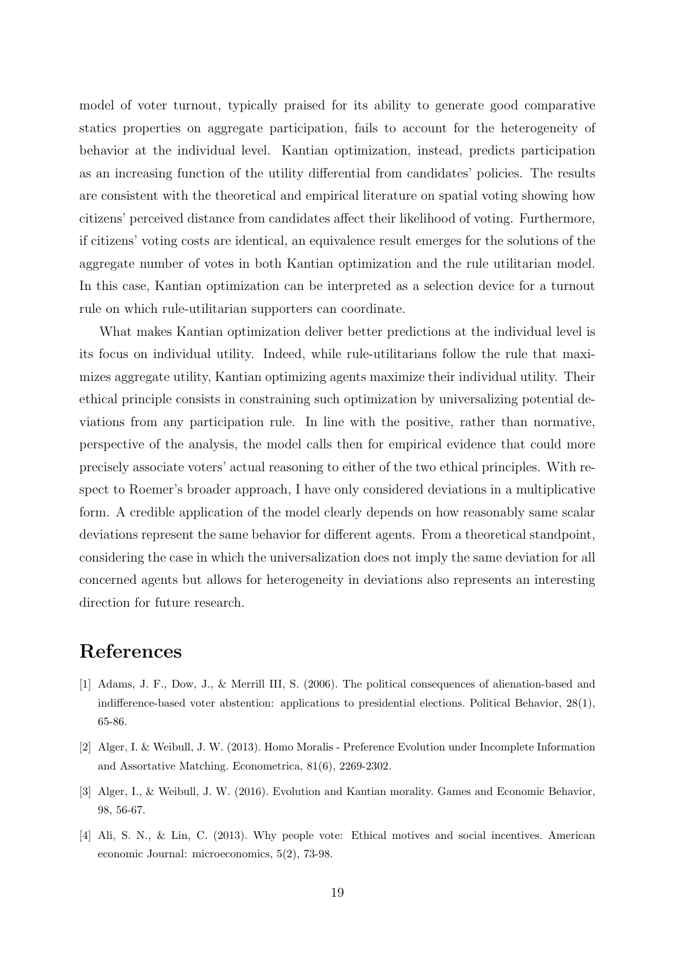model of voter turnout, typically praised for its ability to generate good comparative statics properties on aggregate participation, fails to account for the heterogeneity of behavior at the individual level. Kantian optimization, instead, predicts participation as an increasing function of the utility differential from candidates' policies. The results are consistent with the theoretical and empirical literature on spatial voting showing how citizens' perceived distance from candidates affect their likelihood of voting. Furthermore, if citizens' voting costs are identical, an equivalence result emerges for the solutions of the aggregate number of votes in both Kantian optimization and the rule utilitarian model. In this case, Kantian optimization can be interpreted as a selection device for a turnout rule on which rule-utilitarian supporters can coordinate.

What makes Kantian optimization deliver better predictions at the individual level is its focus on individual utility. Indeed, while rule-utilitarians follow the rule that maximizes aggregate utility, Kantian optimizing agents maximize their individual utility. Their ethical principle consists in constraining such optimization by universalizing potential deviations from any participation rule. In line with the positive, rather than normative, perspective of the analysis, the model calls then for empirical evidence that could more precisely associate voters' actual reasoning to either of the two ethical principles. With respect to Roemer's broader approach, I have only considered deviations in a multiplicative form. A credible application of the model clearly depends on how reasonably same scalar deviations represent the same behavior for different agents. From a theoretical standpoint, considering the case in which the universalization does not imply the same deviation for all concerned agents but allows for heterogeneity in deviations also represents an interesting direction for future research.

## References

- [1] Adams, J. F., Dow, J., & Merrill III, S. (2006). The political consequences of alienation-based and indifference-based voter abstention: applications to presidential elections. Political Behavior, 28(1), 65-86.
- [2] Alger, I. & Weibull, J. W. (2013). Homo Moralis Preference Evolution under Incomplete Information and Assortative Matching. Econometrica, 81(6), 2269-2302.
- [3] Alger, I., & Weibull, J. W. (2016). Evolution and Kantian morality. Games and Economic Behavior, 98, 56-67.
- [4] Ali, S. N., & Lin, C. (2013). Why people vote: Ethical motives and social incentives. American economic Journal: microeconomics, 5(2), 73-98.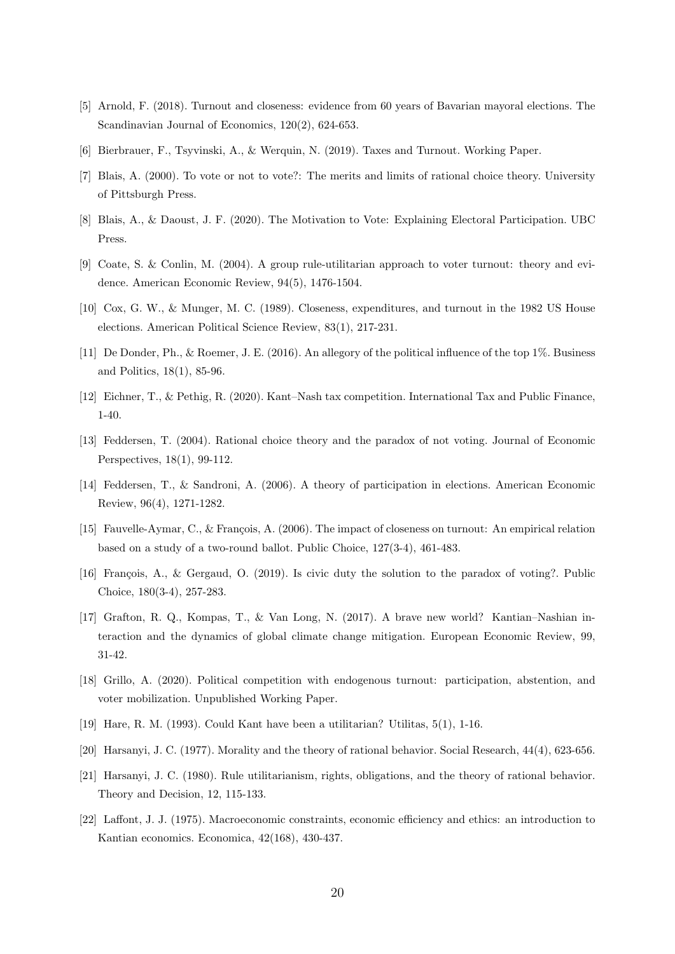- [5] Arnold, F. (2018). Turnout and closeness: evidence from 60 years of Bavarian mayoral elections. The Scandinavian Journal of Economics, 120(2), 624-653.
- [6] Bierbrauer, F., Tsyvinski, A., & Werquin, N. (2019). Taxes and Turnout. Working Paper.
- [7] Blais, A. (2000). To vote or not to vote?: The merits and limits of rational choice theory. University of Pittsburgh Press.
- [8] Blais, A., & Daoust, J. F. (2020). The Motivation to Vote: Explaining Electoral Participation. UBC Press.
- [9] Coate, S. & Conlin, M. (2004). A group rule-utilitarian approach to voter turnout: theory and evidence. American Economic Review, 94(5), 1476-1504.
- [10] Cox, G. W., & Munger, M. C. (1989). Closeness, expenditures, and turnout in the 1982 US House elections. American Political Science Review, 83(1), 217-231.
- [11] De Donder, Ph., & Roemer, J. E. (2016). An allegory of the political influence of the top 1%. Business and Politics, 18(1), 85-96.
- [12] Eichner, T., & Pethig, R. (2020). Kant–Nash tax competition. International Tax and Public Finance, 1-40.
- [13] Feddersen, T. (2004). Rational choice theory and the paradox of not voting. Journal of Economic Perspectives, 18(1), 99-112.
- [14] Feddersen, T., & Sandroni, A. (2006). A theory of participation in elections. American Economic Review, 96(4), 1271-1282.
- [15] Fauvelle-Aymar, C., & François, A. (2006). The impact of closeness on turnout: An empirical relation based on a study of a two-round ballot. Public Choice, 127(3-4), 461-483.
- [16] François, A., & Gergaud, O. (2019). Is civic duty the solution to the paradox of voting?. Public Choice, 180(3-4), 257-283.
- [17] Grafton, R. Q., Kompas, T., & Van Long, N. (2017). A brave new world? Kantian–Nashian interaction and the dynamics of global climate change mitigation. European Economic Review, 99, 31-42.
- [18] Grillo, A. (2020). Political competition with endogenous turnout: participation, abstention, and voter mobilization. Unpublished Working Paper.
- [19] Hare, R. M. (1993). Could Kant have been a utilitarian? Utilitas, 5(1), 1-16.
- [20] Harsanyi, J. C. (1977). Morality and the theory of rational behavior. Social Research, 44(4), 623-656.
- [21] Harsanyi, J. C. (1980). Rule utilitarianism, rights, obligations, and the theory of rational behavior. Theory and Decision, 12, 115-133.
- [22] Laffont, J. J. (1975). Macroeconomic constraints, economic efficiency and ethics: an introduction to Kantian economics. Economica, 42(168), 430-437.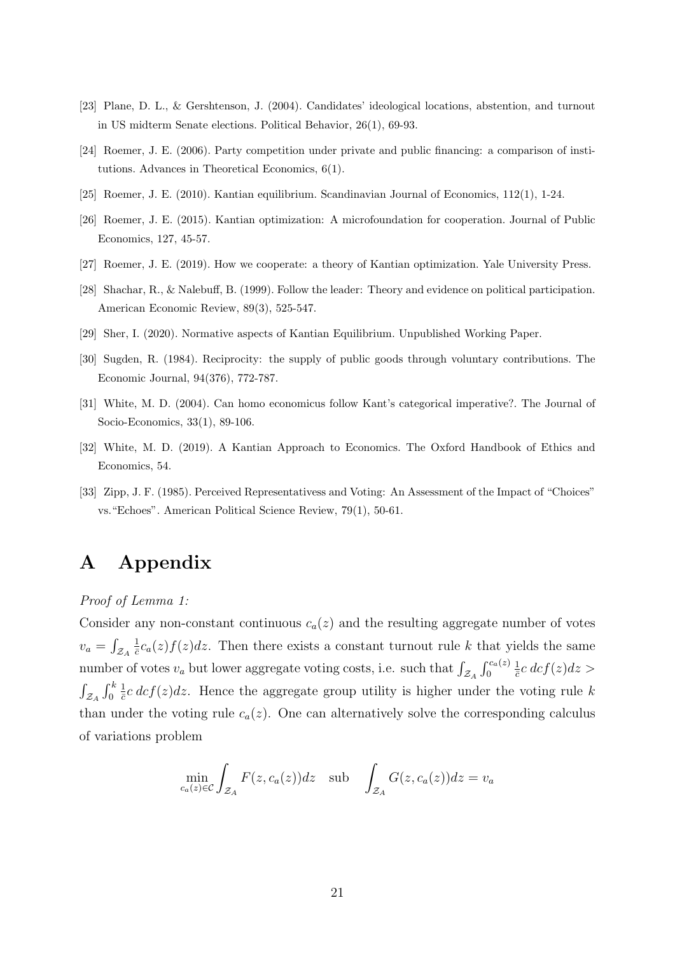- [23] Plane, D. L., & Gershtenson, J. (2004). Candidates' ideological locations, abstention, and turnout in US midterm Senate elections. Political Behavior, 26(1), 69-93.
- [24] Roemer, J. E. (2006). Party competition under private and public financing: a comparison of institutions. Advances in Theoretical Economics, 6(1).
- [25] Roemer, J. E. (2010). Kantian equilibrium. Scandinavian Journal of Economics, 112(1), 1-24.
- [26] Roemer, J. E. (2015). Kantian optimization: A microfoundation for cooperation. Journal of Public Economics, 127, 45-57.
- [27] Roemer, J. E. (2019). How we cooperate: a theory of Kantian optimization. Yale University Press.
- [28] Shachar, R., & Nalebuff, B. (1999). Follow the leader: Theory and evidence on political participation. American Economic Review, 89(3), 525-547.
- [29] Sher, I. (2020). Normative aspects of Kantian Equilibrium. Unpublished Working Paper.
- [30] Sugden, R. (1984). Reciprocity: the supply of public goods through voluntary contributions. The Economic Journal, 94(376), 772-787.
- [31] White, M. D. (2004). Can homo economicus follow Kant's categorical imperative?. The Journal of Socio-Economics, 33(1), 89-106.
- [32] White, M. D. (2019). A Kantian Approach to Economics. The Oxford Handbook of Ethics and Economics, 54.
- [33] Zipp, J. F. (1985). Perceived Representativess and Voting: An Assessment of the Impact of "Choices" vs."Echoes". American Political Science Review, 79(1), 50-61.

## A Appendix

Proof of Lemma 1:

Consider any non-constant continuous  $c_a(z)$  and the resulting aggregate number of votes  $v_a = \int_{\mathcal{Z}_A}$ 1  $\frac{1}{c}c_a(z)f(z)dz$ . Then there exists a constant turnout rule k that yields the same number of votes  $v_a$  but lower aggregate voting costs, i.e. such that  $\int_{\mathcal{Z}_A} \int_0^{c_a(z)}$ 1  $\frac{1}{\bar{c}}c\,dcf(z)dz>$  $\int_{\mathcal{Z}_A}\int_0^k$ 1  $\frac{1}{c}c \, dcf(z)dz$ . Hence the aggregate group utility is higher under the voting rule k than under the voting rule  $c_a(z)$ . One can alternatively solve the corresponding calculus of variations problem

$$
\min_{c_a(z)\in\mathcal{C}} \int_{\mathcal{Z}_A} F(z, c_a(z))dz \quad \text{sub} \quad \int_{\mathcal{Z}_A} G(z, c_a(z))dz = v_a
$$